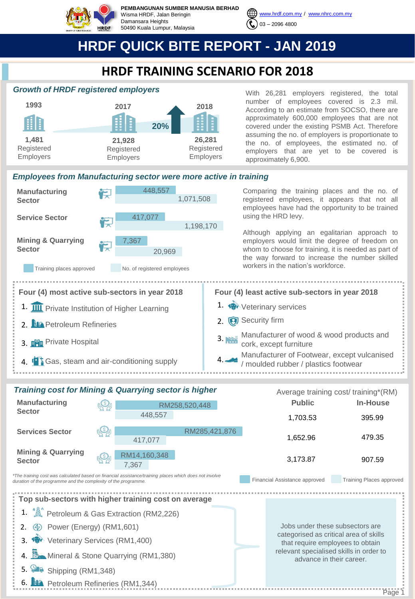

**PEMBANGUNAN SUMBER MANUSIA BERHAD** Wisma HRDF, Jalan Beringin Damansara Heights 50490 Kuala Lumpur, Malaysia



# **HRDF QUICK BITE REPORT - JAN 2019**

### **HRDF TRAINING SCENARIO FOR 2018**

### *Growth of HRDF registered employers*



With 26,281 employers registered, the total number of employees covered is 2.3 mil. According to an estimate from SOCSO, there are approximately 600,000 employees that are not covered under the existing PSMB Act. Therefore assuming the no. of employers is proportionate to the no. of employees, the estimated no. of employers that are yet to be covered is approximately 6,900.

#### *Employees from Manufacturing sector were more active in training*



| <b>Training cost for Mining &amp; Quarrying sector is higher</b>                                                                                                                                          |  |                       |               |  | Average training cost/ training*(RM)                                                                          |                                 |  |
|-----------------------------------------------------------------------------------------------------------------------------------------------------------------------------------------------------------|--|-----------------------|---------------|--|---------------------------------------------------------------------------------------------------------------|---------------------------------|--|
| <b>Manufacturing</b>                                                                                                                                                                                      |  | RM258,520,448         |               |  | <b>Public</b>                                                                                                 | In-House                        |  |
| <b>Sector</b>                                                                                                                                                                                             |  | 448,557               |               |  | 1,703.53                                                                                                      | 395.99                          |  |
| <b>Services Sector</b>                                                                                                                                                                                    |  | 417,077               | RM285,421,876 |  | 1,652.96                                                                                                      | 479.35                          |  |
| <b>Mining &amp; Quarrying</b><br><b>Sector</b>                                                                                                                                                            |  | RM14,160,348<br>7.367 |               |  | 3,173.87                                                                                                      | 907.59                          |  |
| *The training cost was calculated based on financial assistance/training places which does not involve<br>Financial Assistance approved<br>duration of the programme and the complexity of the programme. |  |                       |               |  |                                                                                                               | <b>Training Places approved</b> |  |
| Top sub-sectors with higher training cost on average                                                                                                                                                      |  |                       |               |  |                                                                                                               |                                 |  |
| 1. <b>A</b> <sup>•</sup> Petroleum & Gas Extraction (RM2,226)                                                                                                                                             |  |                       |               |  |                                                                                                               |                                 |  |
| <b>4</b> Power (Energy) (RM1,601)                                                                                                                                                                         |  |                       |               |  | Jobs under these subsectors are<br>categorised as critical area of skills<br>that require employees to obtain |                                 |  |
| 3. <b>19</b> Veterinary Services (RM1,400)                                                                                                                                                                |  |                       |               |  |                                                                                                               |                                 |  |
| 4. <b>A</b> Mineral & Stone Quarrying (RM1,380)                                                                                                                                                           |  |                       |               |  | relevant specialised skills in order to<br>advance in their career.                                           |                                 |  |
| 5. Shipping (RM1,348)                                                                                                                                                                                     |  |                       |               |  |                                                                                                               |                                 |  |
| 6. <b>14.</b> Petroleum Refineries (RM1,344)                                                                                                                                                              |  |                       |               |  |                                                                                                               |                                 |  |
|                                                                                                                                                                                                           |  |                       |               |  |                                                                                                               | Page 1                          |  |